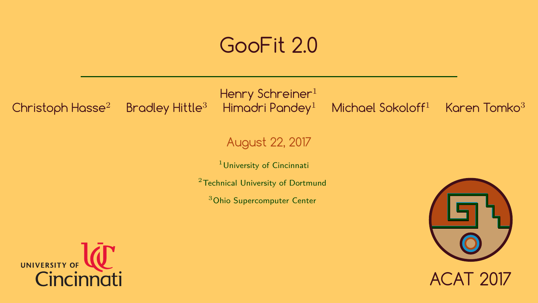# GooFit 2.0

#### <span id="page-0-0"></span>Henry Schreiner<sup>1</sup><br>Himadri Pandey<sup>1</sup> Christoph Hasse<sup>2</sup> Bradley Hittle<sup>3</sup> Himadri Pandey<sup>1</sup> Michael Sokoloff<sup>1</sup> Karen Tomko<sup>3</sup>

### August 22, 2017

<sup>1</sup> University of Cincinnati

<sup>2</sup>Technical University of Dortmund

<sup>3</sup>Ohio Supercomputer Center



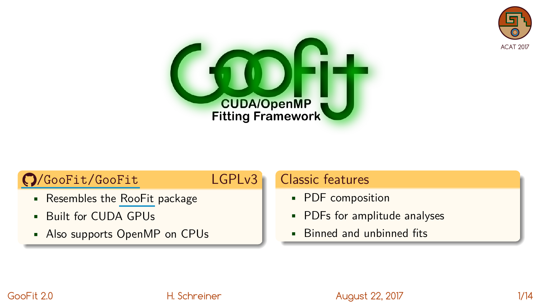



## [/GooFit/GooFit](https://github.com/GooFit/GooFit) LGPLv3

- Resembles the [RooFit](http://roofit.sourceforge.net) package
- Built for CUDA GPUs
- Also supports OpenMP on CPUs

#### Classic features

- PDF composition
- PDFs for amplitude analyses
- Binned and unbinned fits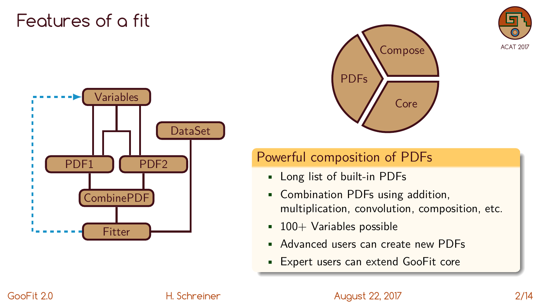# Features of a fit







### Powerful composition of PDFs

- Long list of built-in PDFs
- Combination PDFs using addition, multiplication, convolution, composition, etc.
- $\bullet$  100+ Variables possible
- Advanced users can create new PDFs
- Expert users can extend GooFit core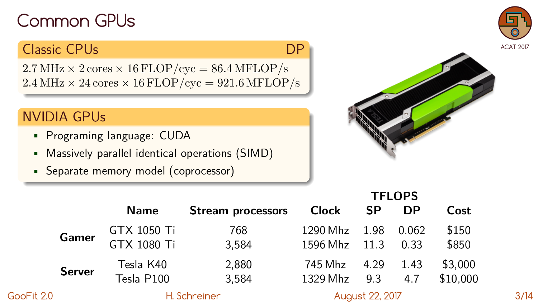# Common GPUs

### Classic CPUs **DP**

 $2.7 \text{ MHz} \times 2 \text{ cores} \times 16 \text{ FLOP/cyc} = 86.4 \text{ MFLOP/s}$  $2.4 \text{ MHz} \times 24 \text{ cores} \times 16 \text{ FLOP}/\text{cyc} = 921.6 \text{ MFLOP/s}$ 

### NVIDIA GPUs

- Programing language: CUDA
- Massively parallel identical operations (SIMD)
- Separate memory model (coprocessor)





|            |               |             |                   | <b>TFLOPS</b> |                 |           |          |      |
|------------|---------------|-------------|-------------------|---------------|-----------------|-----------|----------|------|
|            |               | <b>Name</b> | Stream processors | <b>Clock</b>  | <b>SP</b>       | <b>DP</b> | Cost     |      |
|            | Gamer         | GTX 1050 Ti | 768               | 1290 Mhz      | 1.98            | 0.062     | \$150    |      |
|            |               | GTX 1080 Ti | 3.584             | 1596 Mhz      | 11.3            | 0.33      | \$850    |      |
|            | <b>Server</b> | Tesla K40   | 2,880             | 745 Mhz       | 4.29            | 1.43      | \$3,000  |      |
|            |               | Tesla P100  | 3.584             | 1329 Mhz      | 9.3             | 4.7       | \$10,000 |      |
| GooFit 2.0 |               |             | H. Schreiner      |               | August 22, 2017 |           |          | 3/14 |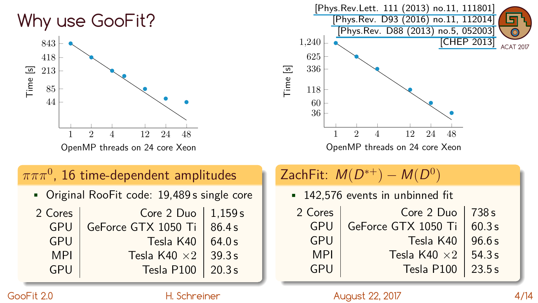

[GooFit 2.0](#page-0-0) H. Schreiner August 22, 2017 4/14

ACAT 2017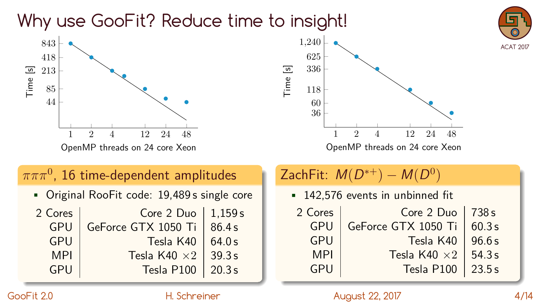# Why use GooFit? Reduce time to insight!



 $\pi\pi\pi^{0}$ , 16 time-dependent amplitudes

• Original RooFit code: 19,489 s single core

2 Cores Core 2 Duo 1,159 s GPU GeForce GTX 1050 Ti  $86.4 s$ GPU  $T$ esla K40 | 64.0 s MPI  $\vert$  Tesla K40  $\times$ 2  $\vert$  39.3 s GPU Tesla P100 | 20.3 s



OpenMP threads on 24 core Xeon

## ZachFit:  $M(D^{*+}) - M(D^0)$

• 142,576 events in unbinned fit

| 2 Cores    | Core 2 Duo   738 s   |                                              |
|------------|----------------------|----------------------------------------------|
| GPU        | GeForce GTX 1050 Ti  | 60.3 s                                       |
| GPU        | Tesla K40            | 96.6s                                        |
| <b>MPI</b> | Tesla K40 $\times 2$ | 54.3s                                        |
| GPU        | Tesla P100           | $\begin{array}{c} \boxed{23.5s} \end{array}$ |

#### [GooFit 2.0](#page-0-0) https://www.burgener.com/discrete and the Schreiner August 22, 2017 http://www.html

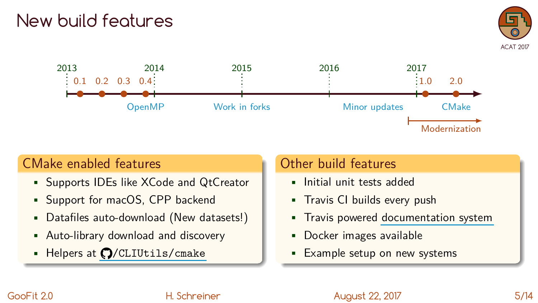# New build features





### CMake enabled features

- Supports IDEs like XCode and QtCreator
- Support for macOS, CPP backend
- Datafiles auto-download (New datasets!)
- Auto-library download and discovery
- Helpers at  $\Omega$ [/CLIUtils/cmake](https://github.com/CLIUtils/cmake)

### Other build features

- Initial unit tests added
- Travis CI builds every push
- Travis powered [documentation system](https://goofit.github.io/GooFit)
- Docker images available
- Example setup on new systems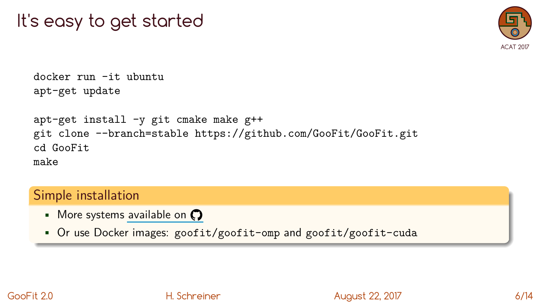# It's easy to get started



docker run -it ubuntu apt-get update

```
apt-get install -y git cmake make g++
git clone --branch=stable https://github.com/GooFit/GooFit.git
cd GooFit
make
```
### Simple installation

- More systems [available on](https://github.com/GooFit/GooFit/blob/master/docs/SYSTEM_INSTALL.md)  $\Omega$
- Or use Docker images: goofit/goofit-omp and goofit/goofit-cuda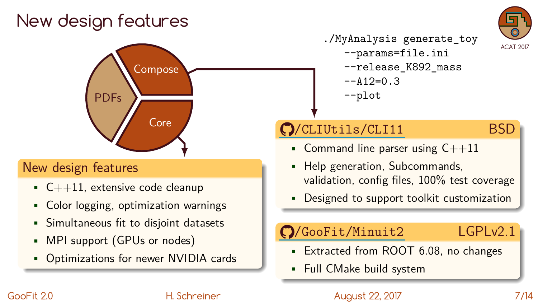# New design features



### New design features

- $\bullet$  C++11, extensive code cleanup
- Color logging, optimization warnings
- Simultaneous fit to disjoint datasets
- MPI support (GPUs or nodes)
- Optimizations for newer NVIDIA cards

```
ACAT 2017
```
./MyAnalysis generate\_toy --params=file.ini --release K892 mass  $-412=0.3$ --plot

## $\bigcirc$ [/CLIUtils/CLI11](https://github.com/CLIUtils/CLI11) BSD

- Command line parser using  $C++11$
- Help generation, Subcommands, validation, config files, 100% test coverage
- Designed to support toolkit customization

## [/GooFit/Minuit2](https://github.com/GooFit/Minuit2) LGPLv2.1

- Extracted from ROOT 6.08, no changes
- Full CMake build system

#### [GooFit 2.0](#page-0-0) H. Schreiner August 22, 2017 7/14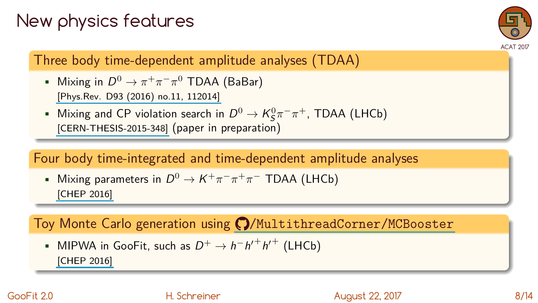# New physics features



## Three body time-dependent amplitude analyses (TDAA)

- Mixing in  $D^0 \to \pi^+\pi^-\pi^0$  TDAA (BaBar) [\[Phys.Rev. D93 \(2016\) no.11, 112014\]](http://inspirehep.net/record/1441203)
- Mixing and CP violation search in  $D^0 \to K^0_S \pi^- \pi^+$ , TDAA (LHCb) [\[CERN-THESIS-2015-348\]](http://inspirehep.net/record/1503629) (paper in preparation)

### Four body time-integrated and time-dependent amplitude analyses

• Mixing parameters in  $D^0 \to K^+\pi^-\pi^+\pi^-$  TDAA (LHCb) [\[CHEP 2016\]](http://inspirehep.net/record/1514733)

## Toy Monte Carlo generation using  $\Omega/M$ ultithreadCorner/MCBooster

• MIPWA in GooFit, such as  $D^+ \rightarrow h^-h'^+h'^+$  (LHCb) [\[CHEP 2016\]](http://inspirehep.net/record/1516800)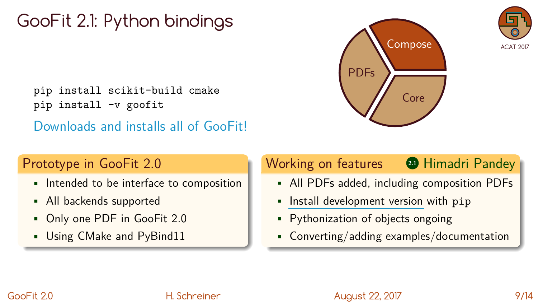# GooFit 2.1: Python bindings

pip install scikit-build cmake pip install -v goofit

Downloads and installs all of GooFitl





#### Prototype in GooFit 2.0

- Intended to be interface to composition
- All backends supported
- Only one PDF in GooFit 2.0
- Using CMake and PyBind11

## Working on features **2.1** Himadri Pandey

- All PDFs added, including composition PDFs
- [Install development version](https://pypi.python.org/pypi/goofit/) with pip
- Pythonization of objects ongoing
- Converting/adding examples/documentation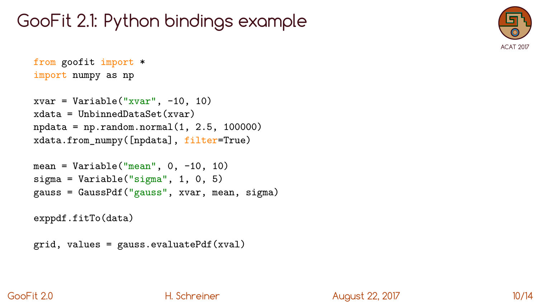# GooFit 2.1: Python bindings example

```
from goofit import *
import numpy as np
```

```
xvar = Variable("xvar", -10, 10)xdata = UnbinnedDataSet(xvar)
npdata = np.random.normal(1, 2.5, 100000)xdata.from_numpy([npdata], filter=True)
```

```
mean = Variable("mean", 0, -10, 10)sigma = Variable("sigma", 1, 0, 5)gauss = GaussPdf("gauss", xvar, mean, sigma)
```

```
exppdf.fitTo(data)
```

```
grid, values = gauss.evaluatePdf(xval)
```
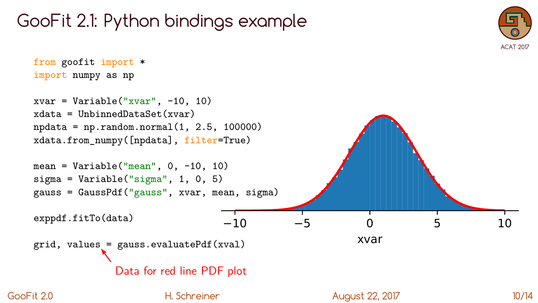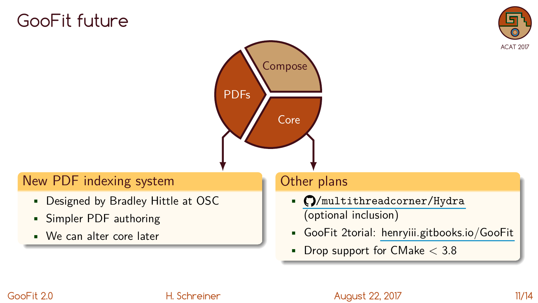## GooFit future



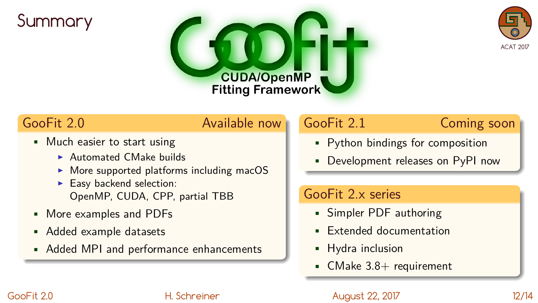# **Summary**





#### GooFit 2.0 Available now

- Much easier to start using
	- $\blacktriangleright$  Automated CMake builds
	- $\triangleright$  More supported platforms including macOS
	- $\blacktriangleright$  Easy backend selection: OpenMP, CUDA, CPP, partial TBB
- More examples and PDFs
- Added example datasets
- Added MPI and performance enhancements

### GooFit 2.1 Coming soon

- Python bindings for composition
- Development releases on PyPI now

### GooFit 2.x series

- Simpler PDF authoring
- Extended documentation
- Hydra inclusion
- CMake  $3.8+$  requirement

[GooFit 2.0](#page-0-0) **H. Schreiner August 22, 2017** 12/14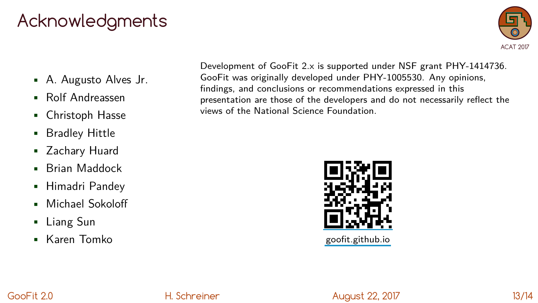# Acknowledgments



- A. Augusto Alves Jr.
- Rolf Andreassen
- Christoph Hasse
- Bradley Hittle
- Zachary Huard
- Brian Maddock
- Himadri Pandey
- Michael Sokoloff
- Liang Sun
- Karen Tomko

Development of GooFit 2.x is supported under NSF grant PHY-1414736. GooFit was originally developed under PHY-1005530. Any opinions, findings, and conclusions or recommendations expressed in this presentation are those of the developers and do not necessarily reflect the views of the National Science Foundation.



[goofit.github.io](https://goofit.github.io)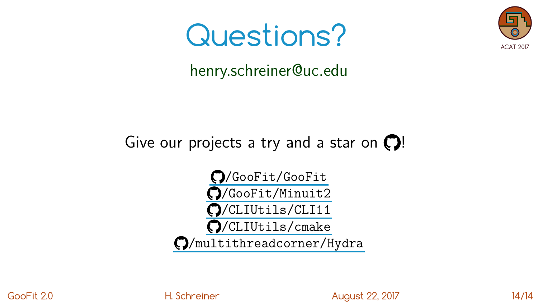



henry.schreiner@uc.edu

## Give our projects a try and a star on  $\Omega$ !

[/GooFit/GooFit](https://github.com/GooFit/GooFit) [/GooFit/Minuit2](https://github.com/GooFit/Minuit2) [/CLIUtils/CLI11](https://github.com/CLIUtils/CLI11)  $\Omega$ [/CLIUtils/cmake](https://github.com/CLIUtils/cmake) [/multithreadcorner/Hydra](https://github.com/multithreadcorner/Hydra)

[GooFit 2.0](#page-0-0) H. Schreiner August 22, 2017 14/14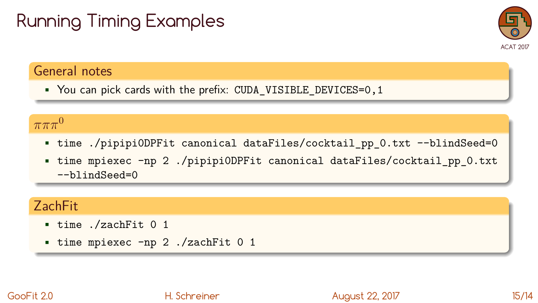# Running Timing Examples



#### General notes

• You can pick cards with the prefix: CUDA\_VISIBLE\_DEVICES=0,1

#### $\pi\pi\pi^0$

- time ./pipipiODPFit canonical dataFiles/cocktail pp 0.txt --blindSeed=0
- time mpiexec -np 2 ./pipipi0DPFit canonical dataFiles/cocktail\_pp\_0.txt --blindSeed=0

### ZachFit

- time ./zachFit 0 1
- time mpiexec -np 2 ./zachFit 0 1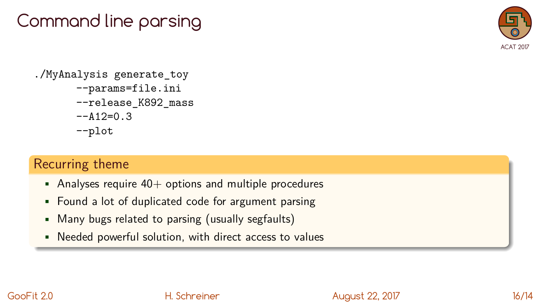# Command line parsing



```
./MyAnalysis generate_toy
      --params=file.ini
      --release K892 mass
      -412=0.3--plot
```
### Recurring theme

- Analyses require  $40+$  options and multiple procedures
- Found a lot of duplicated code for argument parsing
- Many bugs related to parsing (usually segfaults)
- Needed powerful solution, with direct access to values